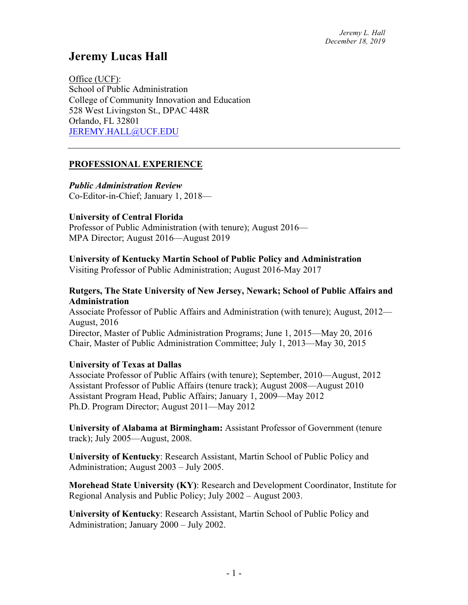# **Jeremy Lucas Hall**

Office (UCF): School of Public Administration College of Community Innovation and Education 528 West Livingston St., DPAC 448R Orlando, FL 32801 JEREMY.HALL@UCF.EDU

### **PROFESSIONAL EXPERIENCE**

*Public Administration Review* Co-Editor-in-Chief; January 1, 2018—

#### **University of Central Florida**

Professor of Public Administration (with tenure); August 2016— MPA Director; August 2016—August 2019

#### **University of Kentucky Martin School of Public Policy and Administration**

Visiting Professor of Public Administration; August 2016-May 2017

#### **Rutgers, The State University of New Jersey, Newark; School of Public Affairs and Administration**

Associate Professor of Public Affairs and Administration (with tenure); August, 2012— August, 2016 Director, Master of Public Administration Programs; June 1, 2015—May 20, 2016 Chair, Master of Public Administration Committee; July 1, 2013—May 30, 2015

#### **University of Texas at Dallas**

Associate Professor of Public Affairs (with tenure); September, 2010—August, 2012 Assistant Professor of Public Affairs (tenure track); August 2008—August 2010 Assistant Program Head, Public Affairs; January 1, 2009—May 2012 Ph.D. Program Director; August 2011—May 2012

**University of Alabama at Birmingham:** Assistant Professor of Government (tenure track); July 2005—August, 2008.

**University of Kentucky**: Research Assistant, Martin School of Public Policy and Administration; August 2003 – July 2005.

**Morehead State University (KY)**: Research and Development Coordinator, Institute for Regional Analysis and Public Policy; July 2002 – August 2003.

**University of Kentucky**: Research Assistant, Martin School of Public Policy and Administration; January 2000 – July 2002.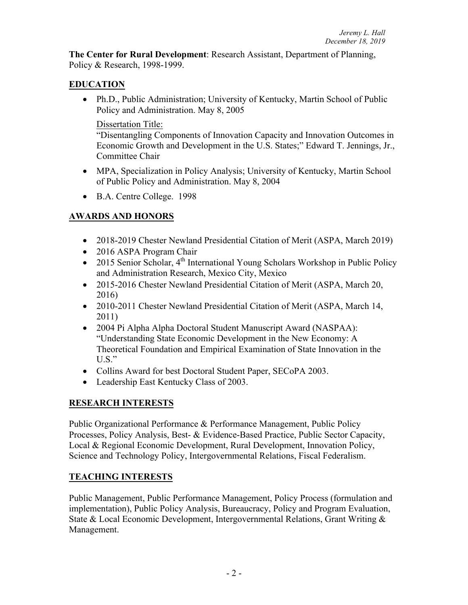**The Center for Rural Development**: Research Assistant, Department of Planning, Policy & Research, 1998-1999.

# **EDUCATION**

• Ph.D., Public Administration; University of Kentucky, Martin School of Public Policy and Administration. May 8, 2005

### Dissertation Title:

"Disentangling Components of Innovation Capacity and Innovation Outcomes in Economic Growth and Development in the U.S. States;" Edward T. Jennings, Jr., Committee Chair

- MPA, Specialization in Policy Analysis; University of Kentucky, Martin School of Public Policy and Administration. May 8, 2004
- B.A. Centre College. 1998

# **AWARDS AND HONORS**

- 2018-2019 Chester Newland Presidential Citation of Merit (ASPA, March 2019)
- 2016 ASPA Program Chair
- 2015 Senior Scholar,  $4^{th}$  International Young Scholars Workshop in Public Policy and Administration Research, Mexico City, Mexico
- 2015-2016 Chester Newland Presidential Citation of Merit (ASPA, March 20, 2016)
- 2010-2011 Chester Newland Presidential Citation of Merit (ASPA, March 14, 2011)
- 2004 Pi Alpha Alpha Doctoral Student Manuscript Award (NASPAA): "Understanding State Economic Development in the New Economy: A Theoretical Foundation and Empirical Examination of State Innovation in the  $U.S.$ "
- Collins Award for best Doctoral Student Paper, SECoPA 2003.
- Leadership East Kentucky Class of 2003.

# **RESEARCH INTERESTS**

Public Organizational Performance & Performance Management, Public Policy Processes, Policy Analysis, Best- & Evidence-Based Practice, Public Sector Capacity, Local & Regional Economic Development, Rural Development, Innovation Policy, Science and Technology Policy, Intergovernmental Relations, Fiscal Federalism.

### **TEACHING INTERESTS**

Public Management, Public Performance Management, Policy Process (formulation and implementation), Public Policy Analysis, Bureaucracy, Policy and Program Evaluation, State & Local Economic Development, Intergovernmental Relations, Grant Writing & Management.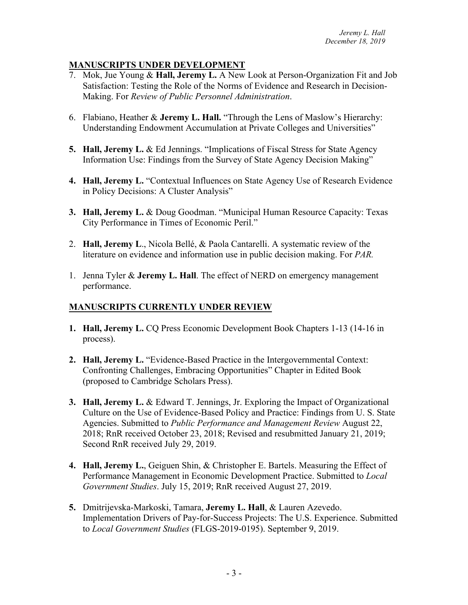# **MANUSCRIPTS UNDER DEVELOPMENT**

- 7. Mok, Jue Young & **Hall, Jeremy L.** A New Look at Person-Organization Fit and Job Satisfaction: Testing the Role of the Norms of Evidence and Research in Decision-Making. For *Review of Public Personnel Administration*.
- 6. Flabiano, Heather & **Jeremy L. Hall.** "Through the Lens of Maslow's Hierarchy: Understanding Endowment Accumulation at Private Colleges and Universities"
- **5. Hall, Jeremy L.** & Ed Jennings. "Implications of Fiscal Stress for State Agency Information Use: Findings from the Survey of State Agency Decision Making"
- **4. Hall, Jeremy L.** "Contextual Influences on State Agency Use of Research Evidence in Policy Decisions: A Cluster Analysis"
- **3. Hall, Jeremy L.** & Doug Goodman. "Municipal Human Resource Capacity: Texas City Performance in Times of Economic Peril."
- 2. **Hall, Jeremy L**., Nicola Bellé, & Paola Cantarelli. A systematic review of the literature on evidence and information use in public decision making. For *PAR.*
- 1. Jenna Tyler & **Jeremy L. Hall**. The effect of NERD on emergency management performance.

# **MANUSCRIPTS CURRENTLY UNDER REVIEW**

- **1. Hall, Jeremy L.** CQ Press Economic Development Book Chapters 1-13 (14-16 in process).
- **2. Hall, Jeremy L.** "Evidence-Based Practice in the Intergovernmental Context: Confronting Challenges, Embracing Opportunities" Chapter in Edited Book (proposed to Cambridge Scholars Press).
- **3. Hall, Jeremy L.** & Edward T. Jennings, Jr. Exploring the Impact of Organizational Culture on the Use of Evidence-Based Policy and Practice: Findings from U. S. State Agencies. Submitted to *Public Performance and Management Review* August 22, 2018; RnR received October 23, 2018; Revised and resubmitted January 21, 2019; Second RnR received July 29, 2019.
- **4. Hall, Jeremy L.**, Geiguen Shin, & Christopher E. Bartels. Measuring the Effect of Performance Management in Economic Development Practice. Submitted to *Local Government Studies*. July 15, 2019; RnR received August 27, 2019.
- **5.** Dmitrijevska-Markoski, Tamara, **Jeremy L. Hall**, & Lauren Azevedo. Implementation Drivers of Pay-for-Success Projects: The U.S. Experience. Submitted to *Local Government Studies* (FLGS-2019-0195). September 9, 2019.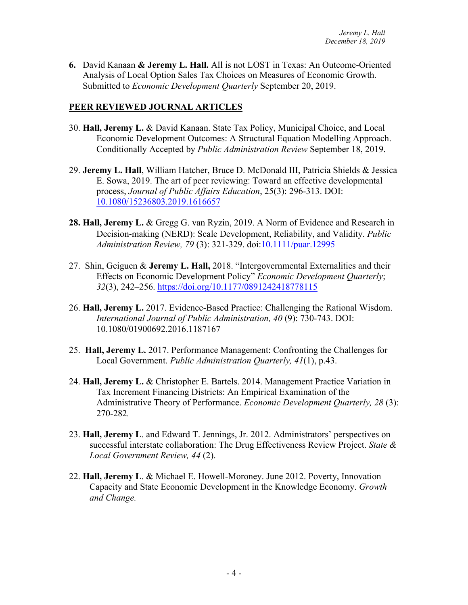**6.** David Kanaan **& Jeremy L. Hall.** All is not LOST in Texas: An Outcome-Oriented Analysis of Local Option Sales Tax Choices on Measures of Economic Growth. Submitted to *Economic Development Quarterly* September 20, 2019.

## **PEER REVIEWED JOURNAL ARTICLES**

- 30. **Hall, Jeremy L.** & David Kanaan. State Tax Policy, Municipal Choice, and Local Economic Development Outcomes: A Structural Equation Modelling Approach. Conditionally Accepted by *Public Administration Review* September 18, 2019.
- 29. **Jeremy L. Hall**, William Hatcher, Bruce D. McDonald III, Patricia Shields & Jessica E. Sowa, 2019. The art of peer reviewing: Toward an effective developmental process, *Journal of Public Affairs Education*, 25(3): 296-313. DOI: 10.1080/15236803.2019.1616657
- **28. Hall, Jeremy L.** & Gregg G. van Ryzin, 2019. A Norm of Evidence and Research in Decision-making (NERD): Scale Development, Reliability, and Validity. *Public Administration Review, 79* (3): 321-329. doi:10.1111/puar.12995
- 27. Shin, Geiguen & **Jeremy L. Hall,** 2018. "Intergovernmental Externalities and their Effects on Economic Development Policy" *Economic Development Quarterly*; *32*(3), 242–256. https://doi.org/10.1177/0891242418778115
- 26. **Hall, Jeremy L.** 2017. Evidence-Based Practice: Challenging the Rational Wisdom. *International Journal of Public Administration, 40* (9): 730-743. DOI: 10.1080/01900692.2016.1187167
- 25. **Hall, Jeremy L.** 2017. Performance Management: Confronting the Challenges for Local Government. *Public Administration Quarterly, 41*(1), p.43.
- 24. **Hall, Jeremy L.** & Christopher E. Bartels. 2014. Management Practice Variation in Tax Increment Financing Districts: An Empirical Examination of the Administrative Theory of Performance. *Economic Development Quarterly, 28* (3): 270-282*.*
- 23. **Hall, Jeremy L**. and Edward T. Jennings, Jr. 2012. Administrators' perspectives on successful interstate collaboration: The Drug Effectiveness Review Project. *State & Local Government Review, 44* (2).
- 22. **Hall, Jeremy L**. & Michael E. Howell-Moroney. June 2012. Poverty, Innovation Capacity and State Economic Development in the Knowledge Economy. *Growth and Change.*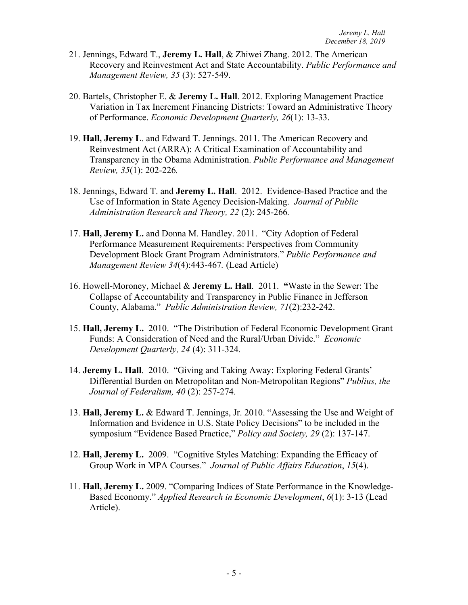- 21. Jennings, Edward T., **Jeremy L. Hall**, & Zhiwei Zhang. 2012. The American Recovery and Reinvestment Act and State Accountability. *Public Performance and Management Review, 35* (3): 527-549.
- 20. Bartels, Christopher E. & **Jeremy L. Hall**. 2012. Exploring Management Practice Variation in Tax Increment Financing Districts: Toward an Administrative Theory of Performance. *Economic Development Quarterly, 26*(1): 13-33.
- 19. **Hall, Jeremy L**. and Edward T. Jennings. 2011. The American Recovery and Reinvestment Act (ARRA): A Critical Examination of Accountability and Transparency in the Obama Administration. *Public Performance and Management Review, 35*(1): 202-226*.*
- 18. Jennings, Edward T. and **Jeremy L. Hall**. 2012. Evidence-Based Practice and the Use of Information in State Agency Decision-Making. *Journal of Public Administration Research and Theory, 22* (2): 245-266*.*
- 17. **Hall, Jeremy L.** and Donna M. Handley. 2011. "City Adoption of Federal Performance Measurement Requirements: Perspectives from Community Development Block Grant Program Administrators." *Public Performance and Management Review 34*(4):443-467*.* (Lead Article)
- 16. Howell-Moroney, Michael & **Jeremy L. Hall**. 2011. **"**Waste in the Sewer: The Collapse of Accountability and Transparency in Public Finance in Jefferson County, Alabama." *Public Administration Review, 71*(2):232-242.
- 15. **Hall, Jeremy L.** 2010. "The Distribution of Federal Economic Development Grant Funds: A Consideration of Need and the Rural/Urban Divide." *Economic Development Quarterly, 24* (4): 311-324*.*
- 14. **Jeremy L. Hall**. 2010. "Giving and Taking Away: Exploring Federal Grants' Differential Burden on Metropolitan and Non-Metropolitan Regions" *Publius, the Journal of Federalism, 40* (2): 257-274*.*
- 13. **Hall, Jeremy L.** & Edward T. Jennings, Jr. 2010. "Assessing the Use and Weight of Information and Evidence in U.S. State Policy Decisions" to be included in the symposium "Evidence Based Practice," *Policy and Society, 29* (2): 137-147.
- 12. **Hall, Jeremy L.** 2009. "Cognitive Styles Matching: Expanding the Efficacy of Group Work in MPA Courses." *Journal of Public Affairs Education*, *15*(4).
- 11. **Hall, Jeremy L.** 2009. "Comparing Indices of State Performance in the Knowledge-Based Economy." *Applied Research in Economic Development*, *6*(1): 3-13 (Lead Article).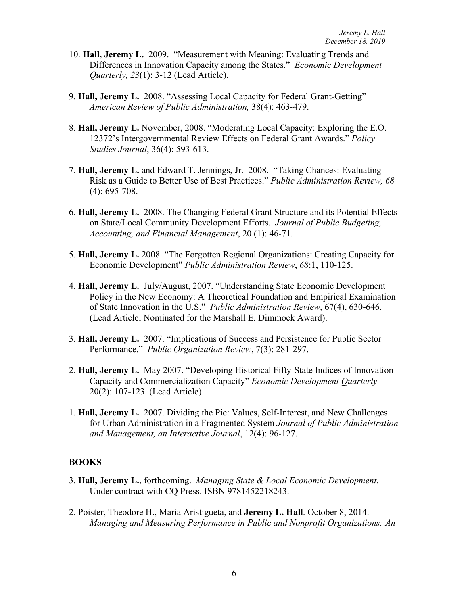- 10. **Hall, Jeremy L.** 2009."Measurement with Meaning: Evaluating Trends and Differences in Innovation Capacity among the States." *Economic Development Quarterly, 23*(1): 3-12 (Lead Article).
- 9. **Hall, Jeremy L.** 2008. "Assessing Local Capacity for Federal Grant-Getting" *American Review of Public Administration,* 38(4): 463-479.
- 8. **Hall, Jeremy L.** November, 2008. "Moderating Local Capacity: Exploring the E.O. 12372's Intergovernmental Review Effects on Federal Grant Awards." *Policy Studies Journal*, 36(4): 593-613.
- 7. **Hall, Jeremy L.** and Edward T. Jennings, Jr. 2008. "Taking Chances: Evaluating Risk as a Guide to Better Use of Best Practices." *Public Administration Review, 68* (4): 695-708.
- 6. **Hall, Jeremy L.** 2008. The Changing Federal Grant Structure and its Potential Effects on State/Local Community Development Efforts. *Journal of Public Budgeting, Accounting, and Financial Management*, 20 (1): 46-71.
- 5. **Hall, Jeremy L.** 2008. "The Forgotten Regional Organizations: Creating Capacity for Economic Development" *Public Administration Review*, *68*:1, 110-125.
- 4. **Hall, Jeremy L.** July/August, 2007. "Understanding State Economic Development Policy in the New Economy: A Theoretical Foundation and Empirical Examination of State Innovation in the U.S." *Public Administration Review*, 67(4), 630-646. (Lead Article; Nominated for the Marshall E. Dimmock Award).
- 3. **Hall, Jeremy L.** 2007. "Implications of Success and Persistence for Public Sector Performance." *Public Organization Review*, 7(3): 281-297.
- 2. **Hall, Jeremy L.** May 2007. "Developing Historical Fifty-State Indices of Innovation Capacity and Commercialization Capacity" *Economic Development Quarterly* 20(2): 107-123. (Lead Article)
- 1. **Hall, Jeremy L.** 2007. Dividing the Pie: Values, Self-Interest, and New Challenges for Urban Administration in a Fragmented System *Journal of Public Administration and Management, an Interactive Journal*, 12(4): 96-127.

### **BOOKS**

- 3. **Hall, Jeremy L.**, forthcoming. *Managing State & Local Economic Development*. Under contract with CQ Press. ISBN 9781452218243.
- 2. Poister, Theodore H., Maria Aristigueta, and **Jeremy L. Hall**. October 8, 2014. *Managing and Measuring Performance in Public and Nonprofit Organizations: An*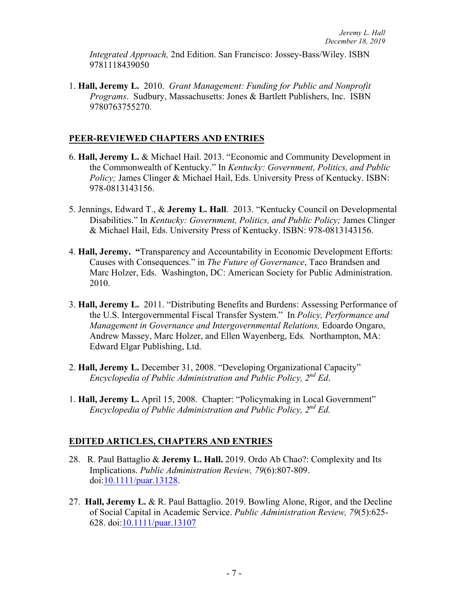*Integrated Approach,* 2nd Edition. San Francisco: Jossey-Bass/Wiley. ISBN 9781118439050

1. **Hall, Jeremy L.** 2010. *Grant Management: Funding for Public and Nonprofit Programs*. Sudbury, Massachusetts: Jones & Bartlett Publishers, Inc. ISBN 9780763755270.

### **PEER-REVIEWED CHAPTERS AND ENTRIES**

- 6. **Hall, Jeremy L.** & Michael Hail. 2013. "Economic and Community Development in the Commonwealth of Kentucky." In *Kentucky: Government, Politics, and Public Policy*; James Clinger & Michael Hail, Eds. University Press of Kentucky. ISBN: 978-0813143156.
- 5. Jennings, Edward T., & **Jeremy L. Hall**. 2013. "Kentucky Council on Developmental Disabilities." In *Kentucky: Government, Politics, and Public Policy;* James Clinger & Michael Hail, Eds. University Press of Kentucky. ISBN: 978-0813143156.
- 4. **Hall, Jeremy. "**Transparency and Accountability in Economic Development Efforts: Causes with Consequences." in *The Future of Governance*, Taco Brandsen and Marc Holzer, Eds. Washington, DC: American Society for Public Administration. 2010.
- 3. **Hall, Jeremy L.** 2011. "Distributing Benefits and Burdens: Assessing Performance of the U.S. Intergovernmental Fiscal Transfer System." In *Policy, Performance and Management in Governance and Intergovernmental Relations, Edoardo Ongaro,* Andrew Massey, Marc Holzer, and Ellen Wayenberg, Eds*.* Northampton, MA: Edward Elgar Publishing, Ltd.
- 2. **Hall, Jeremy L.** December 31, 2008. "Developing Organizational Capacity" *Encyclopedia of Public Administration and Public Policy, 2nd Ed*.
- 1. **Hall, Jeremy L.** April 15, 2008. Chapter: "Policymaking in Local Government" *Encyclopedia of Public Administration and Public Policy, 2nd Ed.*

#### **EDITED ARTICLES, CHAPTERS AND ENTRIES**

- 28. R. Paul Battaglio & **Jeremy L. Hall.** 2019. Ordo Ab Chao?: Complexity and Its Implications. *Public Administration Review, 79*(6):807-809. doi:10.1111/puar.13128.
- 27. **Hall, Jeremy L.** & R. Paul Battaglio. 2019. Bowling Alone, Rigor, and the Decline of Social Capital in Academic Service. *Public Administration Review, 79*(5):625- 628. doi:10.1111/puar.13107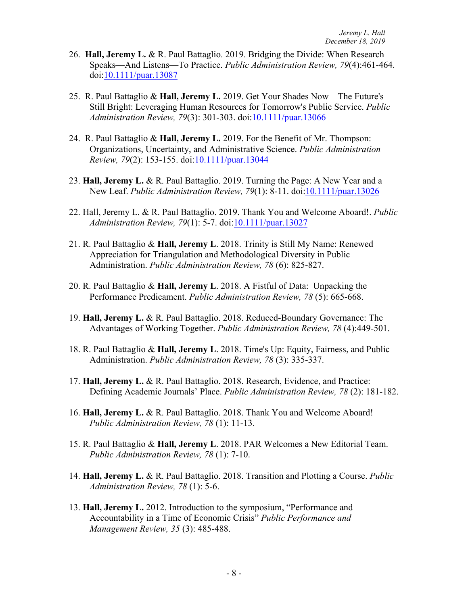- 26. **Hall, Jeremy L.** & R. Paul Battaglio. 2019. Bridging the Divide: When Research Speaks—And Listens—To Practice. *Public Administration Review, 79*(4):461-464. doi:10.1111/puar.13087
- 25. R. Paul Battaglio & **Hall, Jeremy L.** 2019. Get Your Shades Now—The Future's Still Bright: Leveraging Human Resources for Tomorrow's Public Service. *Public Administration Review, 79*(3): 301-303. doi:10.1111/puar.13066
- 24. R. Paul Battaglio & **Hall, Jeremy L.** 2019. For the Benefit of Mr. Thompson: Organizations, Uncertainty, and Administrative Science. *Public Administration Review, 79*(2): 153-155. doi:10.1111/puar.13044
- 23. **Hall, Jeremy L.** & R. Paul Battaglio. 2019. Turning the Page: A New Year and a New Leaf. *Public Administration Review, 79*(1): 8-11. doi:10.1111/puar.13026
- 22. Hall, Jeremy L. & R. Paul Battaglio. 2019. Thank You and Welcome Aboard!. *Public Administration Review, 79*(1): 5-7. doi:10.1111/puar.13027
- 21. R. Paul Battaglio & **Hall, Jeremy L**. 2018. Trinity is Still My Name: Renewed Appreciation for Triangulation and Methodological Diversity in Public Administration. *Public Administration Review, 78* (6): 825-827.
- 20. R. Paul Battaglio & **Hall, Jeremy L**. 2018. A Fistful of Data: Unpacking the Performance Predicament. *Public Administration Review, 78* (5): 665-668.
- 19. **Hall, Jeremy L.** & R. Paul Battaglio. 2018. Reduced-Boundary Governance: The Advantages of Working Together. *Public Administration Review, 78* (4):449-501.
- 18. R. Paul Battaglio & **Hall, Jeremy L**. 2018. Time's Up: Equity, Fairness, and Public Administration. *Public Administration Review, 78* (3): 335-337.
- 17. **Hall, Jeremy L.** & R. Paul Battaglio. 2018. Research, Evidence, and Practice: Defining Academic Journals' Place. *Public Administration Review, 78* (2): 181-182.
- 16. **Hall, Jeremy L.** & R. Paul Battaglio. 2018. Thank You and Welcome Aboard! *Public Administration Review, 78* (1): 11-13.
- 15. R. Paul Battaglio & **Hall, Jeremy L**. 2018. PAR Welcomes a New Editorial Team. *Public Administration Review, 78* (1): 7-10.
- 14. **Hall, Jeremy L.** & R. Paul Battaglio. 2018. Transition and Plotting a Course. *Public Administration Review, 78* (1): 5-6.
- 13. **Hall, Jeremy L.** 2012. Introduction to the symposium, "Performance and Accountability in a Time of Economic Crisis" *Public Performance and Management Review, 35* (3): 485-488.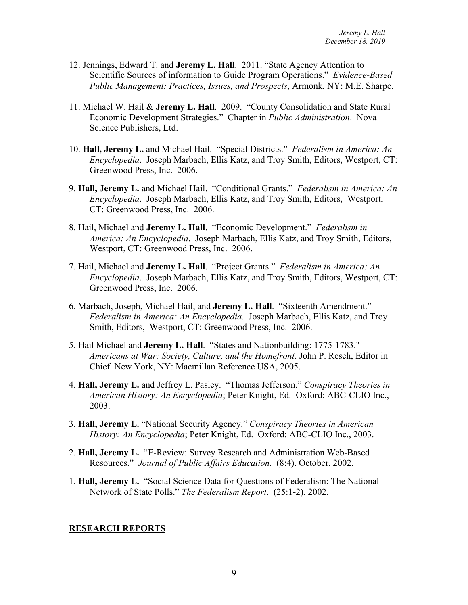- 12. Jennings, Edward T. and **Jeremy L. Hall**. 2011. "State Agency Attention to Scientific Sources of information to Guide Program Operations." *Evidence-Based Public Management: Practices, Issues, and Prospects*, Armonk, NY: M.E. Sharpe.
- 11. Michael W. Hail & **Jeremy L. Hall**. 2009. "County Consolidation and State Rural Economic Development Strategies." Chapter in *Public Administration*. Nova Science Publishers, Ltd.
- 10. **Hall, Jeremy L.** and Michael Hail. "Special Districts." *Federalism in America: An Encyclopedia*. Joseph Marbach, Ellis Katz, and Troy Smith, Editors, Westport, CT: Greenwood Press, Inc. 2006.
- 9. **Hall, Jeremy L.** and Michael Hail. "Conditional Grants." *Federalism in America: An Encyclopedia*. Joseph Marbach, Ellis Katz, and Troy Smith, Editors, Westport, CT: Greenwood Press, Inc. 2006.
- 8. Hail, Michael and **Jeremy L. Hall**. "Economic Development." *Federalism in America: An Encyclopedia*. Joseph Marbach, Ellis Katz, and Troy Smith, Editors, Westport, CT: Greenwood Press, Inc. 2006.
- 7. Hail, Michael and **Jeremy L. Hall**. "Project Grants." *Federalism in America: An Encyclopedia*. Joseph Marbach, Ellis Katz, and Troy Smith, Editors, Westport, CT: Greenwood Press, Inc. 2006.
- 6. Marbach, Joseph, Michael Hail, and **Jeremy L. Hall**. "Sixteenth Amendment." *Federalism in America: An Encyclopedia*. Joseph Marbach, Ellis Katz, and Troy Smith, Editors, Westport, CT: Greenwood Press, Inc. 2006.
- 5. Hail Michael and **Jeremy L. Hall**. "States and Nationbuilding: 1775-1783." *Americans at War: Society, Culture, and the Homefront*. John P. Resch, Editor in Chief. New York, NY: Macmillan Reference USA, 2005.
- 4. **Hall, Jeremy L.** and Jeffrey L. Pasley."Thomas Jefferson." *Conspiracy Theories in American History: An Encyclopedia*; Peter Knight, Ed. Oxford: ABC-CLIO Inc., 2003.
- 3. **Hall, Jeremy L.** "National Security Agency." *Conspiracy Theories in American History: An Encyclopedia*; Peter Knight, Ed. Oxford: ABC-CLIO Inc., 2003.
- 2. **Hall, Jeremy L.** "E-Review: Survey Research and Administration Web-Based Resources." *Journal of Public Affairs Education.* (8:4). October, 2002.
- 1. **Hall, Jeremy L.** "Social Science Data for Questions of Federalism: The National Network of State Polls." *The Federalism Report*. (25:1-2). 2002.

#### **RESEARCH REPORTS**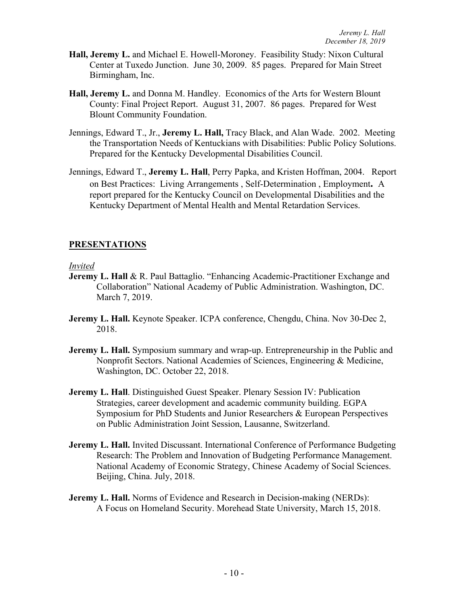- **Hall, Jeremy L.** and Michael E. Howell-Moroney. Feasibility Study: Nixon Cultural Center at Tuxedo Junction. June 30, 2009. 85 pages. Prepared for Main Street Birmingham, Inc.
- **Hall, Jeremy L.** and Donna M. Handley. Economics of the Arts for Western Blount County: Final Project Report. August 31, 2007. 86 pages. Prepared for West Blount Community Foundation.
- Jennings, Edward T., Jr., **Jeremy L. Hall,** Tracy Black, and Alan Wade. 2002. Meeting the Transportation Needs of Kentuckians with Disabilities: Public Policy Solutions. Prepared for the Kentucky Developmental Disabilities Council.
- Jennings, Edward T., **Jeremy L. Hall**, Perry Papka, and Kristen Hoffman, 2004. Report on Best Practices: Living Arrangements , Self-Determination , Employment**.** A report prepared for the Kentucky Council on Developmental Disabilities and the Kentucky Department of Mental Health and Mental Retardation Services.

### **PRESENTATIONS**

#### *Invited*

- **Jeremy L. Hall & R. Paul Battaglio. "Enhancing Academic-Practitioner Exchange and** Collaboration" National Academy of Public Administration. Washington, DC. March 7, 2019.
- **Jeremy L. Hall.** Keynote Speaker. ICPA conference, Chengdu, China. Nov 30-Dec 2, 2018.
- **Jeremy L. Hall.** Symposium summary and wrap-up. Entrepreneurship in the Public and Nonprofit Sectors. National Academies of Sciences, Engineering & Medicine, Washington, DC. October 22, 2018.
- **Jeremy L. Hall**. Distinguished Guest Speaker. Plenary Session IV: Publication Strategies, career development and academic community building. EGPA Symposium for PhD Students and Junior Researchers & European Perspectives on Public Administration Joint Session, Lausanne, Switzerland.
- **Jeremy L. Hall.** Invited Discussant. International Conference of Performance Budgeting Research: The Problem and Innovation of Budgeting Performance Management. National Academy of Economic Strategy, Chinese Academy of Social Sciences. Beijing, China. July, 2018.
- **Jeremy L. Hall.** Norms of Evidence and Research in Decision-making (NERDs): A Focus on Homeland Security. Morehead State University, March 15, 2018.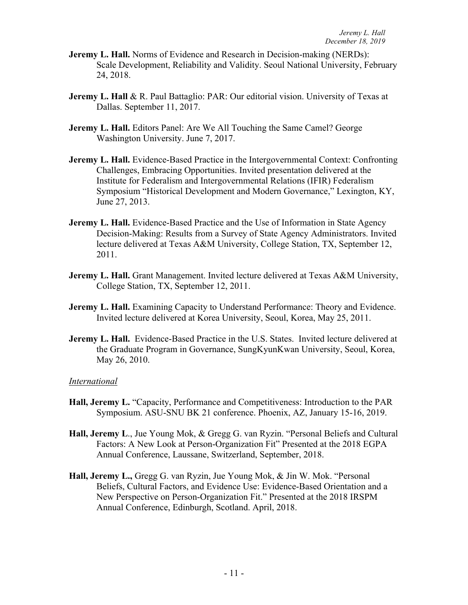- **Jeremy L. Hall.** Norms of Evidence and Research in Decision-making (NERDs): Scale Development, Reliability and Validity. Seoul National University, February 24, 2018.
- **Jeremy L. Hall & R. Paul Battaglio: PAR: Our editorial vision. University of Texas at** Dallas. September 11, 2017.
- **Jeremy L. Hall.** Editors Panel: Are We All Touching the Same Camel? George Washington University. June 7, 2017.
- **Jeremy L. Hall.** Evidence-Based Practice in the Intergovernmental Context: Confronting Challenges, Embracing Opportunities. Invited presentation delivered at the Institute for Federalism and Intergovernmental Relations (IFIR) Federalism Symposium "Historical Development and Modern Governance," Lexington, KY, June 27, 2013.
- **Jeremy L. Hall.** Evidence-Based Practice and the Use of Information in State Agency Decision-Making: Results from a Survey of State Agency Administrators. Invited lecture delivered at Texas A&M University, College Station, TX, September 12, 2011.
- **Jeremy L. Hall.** Grant Management. Invited lecture delivered at Texas A&M University, College Station, TX, September 12, 2011.
- **Jeremy L. Hall.** Examining Capacity to Understand Performance: Theory and Evidence. Invited lecture delivered at Korea University, Seoul, Korea, May 25, 2011.
- **Jeremy L. Hall.** Evidence-Based Practice in the U.S. States. Invited lecture delivered at the Graduate Program in Governance, SungKyunKwan University, Seoul, Korea, May 26, 2010.

#### *International*

- **Hall, Jeremy L.** "Capacity, Performance and Competitiveness: Introduction to the PAR Symposium. ASU-SNU BK 21 conference. Phoenix, AZ, January 15-16, 2019.
- **Hall, Jeremy L**., Jue Young Mok, & Gregg G. van Ryzin. "Personal Beliefs and Cultural Factors: A New Look at Person-Organization Fit" Presented at the 2018 EGPA Annual Conference, Laussane, Switzerland, September, 2018.
- **Hall, Jeremy L.,** Gregg G. van Ryzin, Jue Young Mok, & Jin W. Mok. "Personal Beliefs, Cultural Factors, and Evidence Use: Evidence-Based Orientation and a New Perspective on Person-Organization Fit." Presented at the 2018 IRSPM Annual Conference, Edinburgh, Scotland. April, 2018.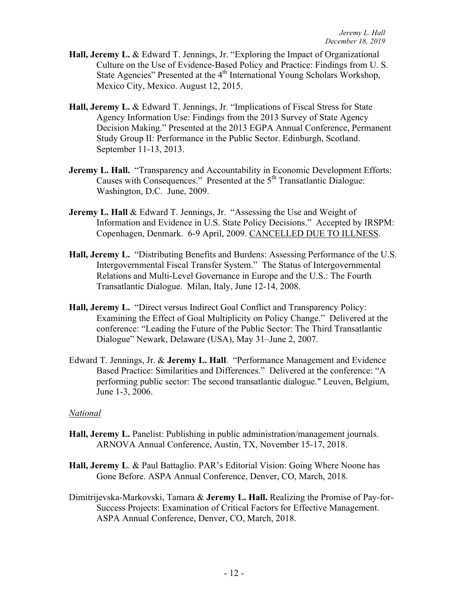- **Hall, Jeremy L.** & Edward T. Jennings, Jr. "Exploring the Impact of Organizational Culture on the Use of Evidence-Based Policy and Practice: Findings from U. S. State Agencies" Presented at the 4<sup>th</sup> International Young Scholars Workshop, Mexico City, Mexico. August 12, 2015.
- **Hall, Jeremy L.** & Edward T. Jennings, Jr. "Implications of Fiscal Stress for State Agency Information Use: Findings from the 2013 Survey of State Agency Decision Making." Presented at the 2013 EGPA Annual Conference, Permanent Study Group II: Performance in the Public Sector. Edinburgh, Scotland. September 11-13, 2013.
- **Jeremy L. Hall.** "Transparency and Accountability in Economic Development Efforts: Causes with Consequences." Presented at the 5<sup>th</sup> Transatlantic Dialogue: Washington, D.C. June, 2009.
- **Jeremy L. Hall &** Edward T. Jennings, Jr. "Assessing the Use and Weight of Information and Evidence in U.S. State Policy Decisions." Accepted by IRSPM: Copenhagen, Denmark. 6-9 April, 2009. CANCELLED DUE TO ILLNESS.
- **Hall, Jeremy L.** "Distributing Benefits and Burdens: Assessing Performance of the U.S. Intergovernmental Fiscal Transfer System." The Status of Intergovernmental Relations and Multi-Level Governance in Europe and the U.S.: The Fourth Transatlantic Dialogue. Milan, Italy, June 12-14, 2008.
- **Hall, Jeremy L.** "Direct versus Indirect Goal Conflict and Transparency Policy: Examining the Effect of Goal Multiplicity on Policy Change." Delivered at the conference: "Leading the Future of the Public Sector: The Third Transatlantic Dialogue" Newark, Delaware (USA), May 31–June 2, 2007.
- Edward T. Jennings, Jr. & **Jeremy L. Hall**. "Performance Management and Evidence Based Practice: Similarities and Differences." Delivered at the conference: "A performing public sector: The second transatlantic dialogue." Leuven, Belgium, June 1-3, 2006.

#### *National*

- **Hall, Jeremy L.** Panelist: Publishing in public administration/management journals. ARNOVA Annual Conference, Austin, TX, November 15-17, 2018.
- **Hall, Jeremy L**. & Paul Battaglio. PAR's Editorial Vision: Going Where Noone has Gone Before. ASPA Annual Conference, Denver, CO, March, 2018.
- Dimitrijevska-Markovski, Tamara & **Jeremy L. Hall.** Realizing the Promise of Pay-for-Success Projects: Examination of Critical Factors for Effective Management. ASPA Annual Conference, Denver, CO, March, 2018.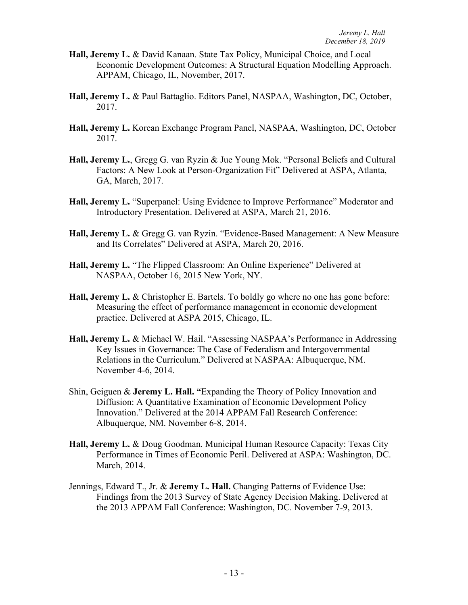- **Hall, Jeremy L.** & David Kanaan. State Tax Policy, Municipal Choice, and Local Economic Development Outcomes: A Structural Equation Modelling Approach. APPAM, Chicago, IL, November, 2017.
- **Hall, Jeremy L.** & Paul Battaglio. Editors Panel, NASPAA, Washington, DC, October, 2017.
- **Hall, Jeremy L.** Korean Exchange Program Panel, NASPAA, Washington, DC, October 2017.
- **Hall, Jeremy L.**, Gregg G. van Ryzin & Jue Young Mok. "Personal Beliefs and Cultural Factors: A New Look at Person-Organization Fit" Delivered at ASPA, Atlanta, GA, March, 2017.
- **Hall, Jeremy L.** "Superpanel: Using Evidence to Improve Performance" Moderator and Introductory Presentation. Delivered at ASPA, March 21, 2016.
- **Hall, Jeremy L.** & Gregg G. van Ryzin. "Evidence-Based Management: A New Measure and Its Correlates" Delivered at ASPA, March 20, 2016.
- **Hall, Jeremy L.** "The Flipped Classroom: An Online Experience" Delivered at NASPAA, October 16, 2015 New York, NY.
- **Hall, Jeremy L.** & Christopher E. Bartels. To boldly go where no one has gone before: Measuring the effect of performance management in economic development practice. Delivered at ASPA 2015, Chicago, IL.
- **Hall, Jeremy L.** & Michael W. Hail. "Assessing NASPAA's Performance in Addressing Key Issues in Governance: The Case of Federalism and Intergovernmental Relations in the Curriculum." Delivered at NASPAA: Albuquerque, NM. November 4-6, 2014.
- Shin, Geiguen & **Jeremy L. Hall. "**Expanding the Theory of Policy Innovation and Diffusion: A Quantitative Examination of Economic Development Policy Innovation." Delivered at the 2014 APPAM Fall Research Conference: Albuquerque, NM. November 6-8, 2014.
- **Hall, Jeremy L.** & Doug Goodman. Municipal Human Resource Capacity: Texas City Performance in Times of Economic Peril. Delivered at ASPA: Washington, DC. March, 2014.
- Jennings, Edward T., Jr. & **Jeremy L. Hall.** Changing Patterns of Evidence Use: Findings from the 2013 Survey of State Agency Decision Making. Delivered at the 2013 APPAM Fall Conference: Washington, DC. November 7-9, 2013.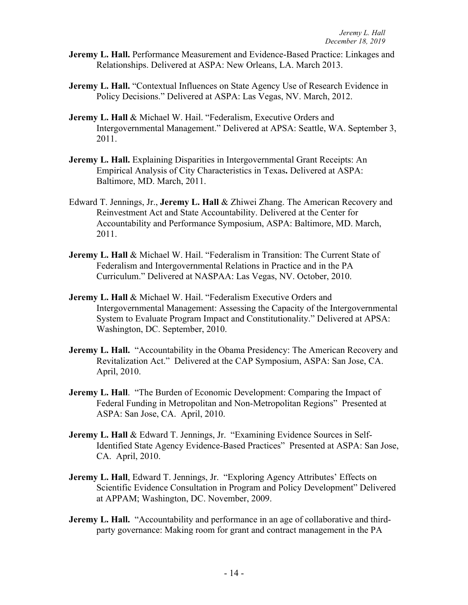- **Jeremy L. Hall.** Performance Measurement and Evidence-Based Practice: Linkages and Relationships. Delivered at ASPA: New Orleans, LA. March 2013.
- **Jeremy L. Hall.** "Contextual Influences on State Agency Use of Research Evidence in Policy Decisions." Delivered at ASPA: Las Vegas, NV. March, 2012.
- **Jeremy L. Hall** & Michael W. Hail. "Federalism, Executive Orders and Intergovernmental Management." Delivered at APSA: Seattle, WA. September 3, 2011.
- **Jeremy L. Hall.** Explaining Disparities in Intergovernmental Grant Receipts: An Empirical Analysis of City Characteristics in Texas**.** Delivered at ASPA: Baltimore, MD. March, 2011.
- Edward T. Jennings, Jr., **Jeremy L. Hall** & Zhiwei Zhang. The American Recovery and Reinvestment Act and State Accountability. Delivered at the Center for Accountability and Performance Symposium, ASPA: Baltimore, MD. March, 2011.
- **Jeremy L. Hall & Michael W. Hail. "Federalism in Transition: The Current State of** Federalism and Intergovernmental Relations in Practice and in the PA Curriculum." Delivered at NASPAA: Las Vegas, NV. October, 2010.
- **Jeremy L. Hall** & Michael W. Hail. "Federalism Executive Orders and Intergovernmental Management: Assessing the Capacity of the Intergovernmental System to Evaluate Program Impact and Constitutionality." Delivered at APSA: Washington, DC. September, 2010.
- **Jeremy L. Hall.** "Accountability in the Obama Presidency: The American Recovery and Revitalization Act." Delivered at the CAP Symposium, ASPA: San Jose, CA. April, 2010.
- **Jeremy L. Hall.** "The Burden of Economic Development: Comparing the Impact of Federal Funding in Metropolitan and Non-Metropolitan Regions" Presented at ASPA: San Jose, CA. April, 2010.
- **Jeremy L. Hall & Edward T. Jennings, Jr. "Examining Evidence Sources in Self-**Identified State Agency Evidence-Based Practices" Presented at ASPA: San Jose, CA. April, 2010.
- **Jeremy L. Hall**, Edward T. Jennings, Jr. "Exploring Agency Attributes' Effects on Scientific Evidence Consultation in Program and Policy Development" Delivered at APPAM; Washington, DC. November, 2009.
- **Jeremy L. Hall.** "Accountability and performance in an age of collaborative and thirdparty governance: Making room for grant and contract management in the PA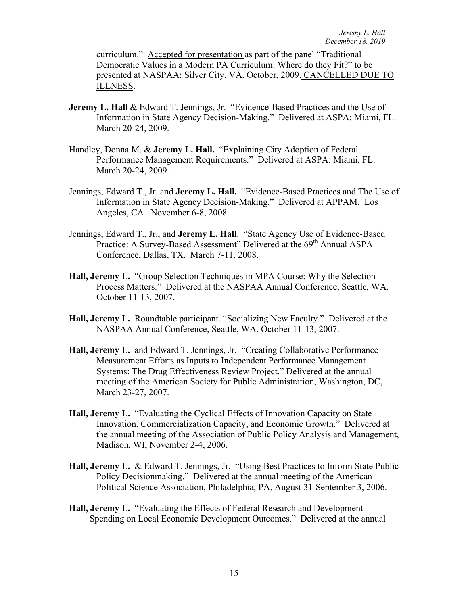curriculum." Accepted for presentation as part of the panel "Traditional Democratic Values in a Modern PA Curriculum: Where do they Fit?" to be presented at NASPAA: Silver City, VA. October, 2009. CANCELLED DUE TO ILLNESS.

- **Jeremy L. Hall & Edward T. Jennings, Jr. "Evidence-Based Practices and the Use of** Information in State Agency Decision-Making." Delivered at ASPA: Miami, FL. March 20-24, 2009.
- Handley, Donna M. & **Jeremy L. Hall.** "Explaining City Adoption of Federal Performance Management Requirements." Delivered at ASPA: Miami, FL. March 20-24, 2009.
- Jennings, Edward T., Jr. and **Jeremy L. Hall.** "Evidence-Based Practices and The Use of Information in State Agency Decision-Making." Delivered at APPAM. Los Angeles, CA. November 6-8, 2008.
- Jennings, Edward T., Jr., and **Jeremy L. Hall**. "State Agency Use of Evidence-Based Practice: A Survey-Based Assessment" Delivered at the 69<sup>th</sup> Annual ASPA Conference, Dallas, TX. March 7-11, 2008.
- **Hall, Jeremy L.** "Group Selection Techniques in MPA Course: Why the Selection Process Matters." Delivered at the NASPAA Annual Conference, Seattle, WA. October 11-13, 2007.
- **Hall, Jeremy L.** Roundtable participant. "Socializing New Faculty." Delivered at the NASPAA Annual Conference, Seattle, WA. October 11-13, 2007.
- **Hall, Jeremy L.** and Edward T. Jennings, Jr. "Creating Collaborative Performance Measurement Efforts as Inputs to Independent Performance Management Systems: The Drug Effectiveness Review Project." Delivered at the annual meeting of the American Society for Public Administration, Washington, DC, March 23-27, 2007.
- **Hall, Jeremy L.** "Evaluating the Cyclical Effects of Innovation Capacity on State Innovation, Commercialization Capacity, and Economic Growth." Delivered at the annual meeting of the Association of Public Policy Analysis and Management, Madison, WI, November 2-4, 2006.
- **Hall, Jeremy L.** & Edward T. Jennings, Jr. "Using Best Practices to Inform State Public Policy Decisionmaking." Delivered at the annual meeting of the American Political Science Association, Philadelphia, PA, August 31-September 3, 2006.
- **Hall, Jeremy L.** "Evaluating the Effects of Federal Research and Development Spending on Local Economic Development Outcomes." Delivered at the annual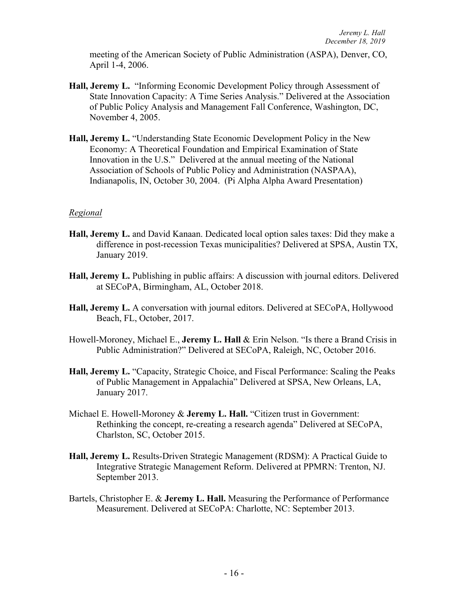meeting of the American Society of Public Administration (ASPA), Denver, CO, April 1-4, 2006.

- **Hall, Jeremy L.** "Informing Economic Development Policy through Assessment of State Innovation Capacity: A Time Series Analysis." Delivered at the Association of Public Policy Analysis and Management Fall Conference, Washington, DC, November 4, 2005.
- **Hall, Jeremy L.** "Understanding State Economic Development Policy in the New Economy: A Theoretical Foundation and Empirical Examination of State Innovation in the U.S." Delivered at the annual meeting of the National Association of Schools of Public Policy and Administration (NASPAA), Indianapolis, IN, October 30, 2004. (Pi Alpha Alpha Award Presentation)

### *Regional*

- **Hall, Jeremy L.** and David Kanaan. Dedicated local option sales taxes: Did they make a difference in post-recession Texas municipalities? Delivered at SPSA, Austin TX, January 2019.
- **Hall, Jeremy L.** Publishing in public affairs: A discussion with journal editors. Delivered at SECoPA, Birmingham, AL, October 2018.
- **Hall, Jeremy L.** A conversation with journal editors. Delivered at SECoPA, Hollywood Beach, FL, October, 2017.
- Howell-Moroney, Michael E., **Jeremy L. Hall** & Erin Nelson. "Is there a Brand Crisis in Public Administration?" Delivered at SECoPA, Raleigh, NC, October 2016.
- **Hall, Jeremy L.** "Capacity, Strategic Choice, and Fiscal Performance: Scaling the Peaks of Public Management in Appalachia" Delivered at SPSA, New Orleans, LA, January 2017.
- Michael E. Howell-Moroney & **Jeremy L. Hall.** "Citizen trust in Government: Rethinking the concept, re-creating a research agenda" Delivered at SECoPA, Charlston, SC, October 2015.
- **Hall, Jeremy L.** Results-Driven Strategic Management (RDSM): A Practical Guide to Integrative Strategic Management Reform. Delivered at PPMRN: Trenton, NJ. September 2013.
- Bartels, Christopher E. & **Jeremy L. Hall.** Measuring the Performance of Performance Measurement. Delivered at SECoPA: Charlotte, NC: September 2013.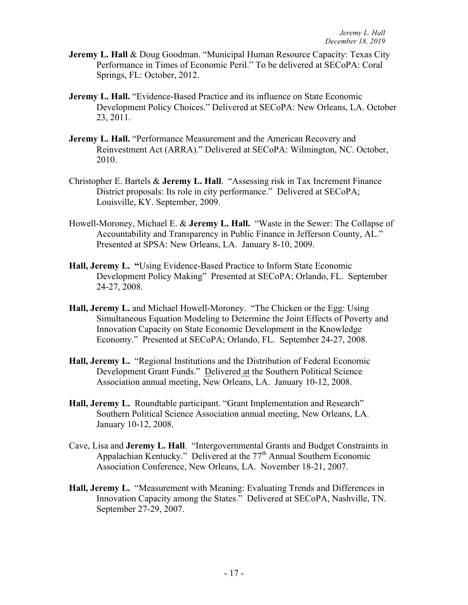- **Jeremy L. Hall & Doug Goodman. "Municipal Human Resource Capacity: Texas City** Performance in Times of Economic Peril." To be delivered at SECoPA: Coral Springs, FL: October, 2012.
- **Jeremy L. Hall.** "Evidence-Based Practice and its influence on State Economic Development Policy Choices." Delivered at SECoPA: New Orleans, LA. October 23, 2011.
- **Jeremy L. Hall.** "Performance Measurement and the American Recovery and Reinvestment Act (ARRA)." Delivered at SECoPA: Wilmington, NC. October, 2010.
- Christopher E. Bartels & **Jeremy L. Hall**. "Assessing risk in Tax Increment Finance District proposals: Its role in city performance." Delivered at SECoPA; Louisville, KY. September, 2009.
- Howell-Moroney, Michael E. & **Jeremy L. Hall.** "Waste in the Sewer: The Collapse of Accountability and Transparency in Public Finance in Jefferson County, AL." Presented at SPSA: New Orleans, LA. January 8-10, 2009.
- **Hall, Jeremy L. "**Using Evidence-Based Practice to Inform State Economic Development Policy Making" Presented at SECoPA; Orlando, FL. September 24-27, 2008.
- **Hall, Jeremy L.** and Michael Howell-Moroney. "The Chicken or the Egg: Using Simultaneous Equation Modeling to Determine the Joint Effects of Poverty and Innovation Capacity on State Economic Development in the Knowledge Economy." Presented at SECoPA; Orlando, FL. September 24-27, 2008.
- **Hall, Jeremy L.** "Regional Institutions and the Distribution of Federal Economic Development Grant Funds." Delivered at the Southern Political Science Association annual meeting, New Orleans, LA. January 10-12, 2008.
- **Hall, Jeremy L.** Roundtable participant. "Grant Implementation and Research" Southern Political Science Association annual meeting, New Orleans, LA. January 10-12, 2008.
- Cave, Lisa and **Jeremy L. Hall**. "Intergovernmental Grants and Budget Constraints in Appalachian Kentucky." Delivered at the 77<sup>th</sup> Annual Southern Economic Association Conference, New Orleans, LA. November 18-21, 2007.
- **Hall, Jeremy L.** "Measurement with Meaning: Evaluating Trends and Differences in Innovation Capacity among the States." Delivered at SECoPA, Nashville, TN. September 27-29, 2007.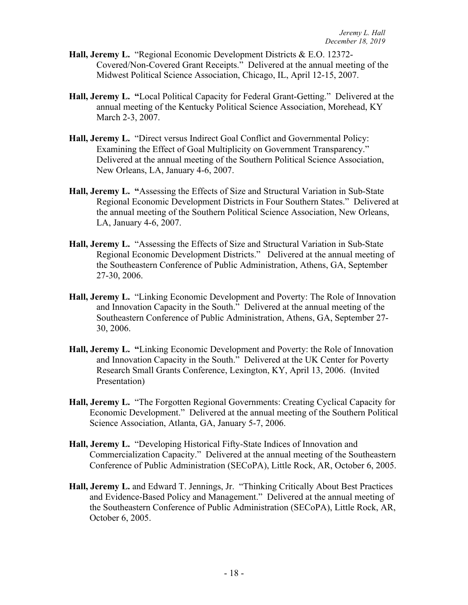- **Hall, Jeremy L.** "Regional Economic Development Districts & E.O. 12372- Covered/Non-Covered Grant Receipts." Delivered at the annual meeting of the Midwest Political Science Association, Chicago, IL, April 12-15, 2007.
- **Hall, Jeremy L. "**Local Political Capacity for Federal Grant-Getting." Delivered at the annual meeting of the Kentucky Political Science Association, Morehead, KY March 2-3, 2007.
- **Hall, Jeremy L.** "Direct versus Indirect Goal Conflict and Governmental Policy: Examining the Effect of Goal Multiplicity on Government Transparency." Delivered at the annual meeting of the Southern Political Science Association, New Orleans, LA, January 4-6, 2007.
- **Hall, Jeremy L. "**Assessing the Effects of Size and Structural Variation in Sub-State Regional Economic Development Districts in Four Southern States." Delivered at the annual meeting of the Southern Political Science Association, New Orleans, LA, January 4-6, 2007.
- **Hall, Jeremy L.** "Assessing the Effects of Size and Structural Variation in Sub-State Regional Economic Development Districts."Delivered at the annual meeting of the Southeastern Conference of Public Administration, Athens, GA, September 27-30, 2006.
- **Hall, Jeremy L.** "Linking Economic Development and Poverty: The Role of Innovation and Innovation Capacity in the South." Delivered at the annual meeting of the Southeastern Conference of Public Administration, Athens, GA, September 27- 30, 2006.
- **Hall, Jeremy L. "**Linking Economic Development and Poverty: the Role of Innovation and Innovation Capacity in the South." Delivered at the UK Center for Poverty Research Small Grants Conference, Lexington, KY, April 13, 2006. (Invited Presentation)
- **Hall, Jeremy L.** "The Forgotten Regional Governments: Creating Cyclical Capacity for Economic Development." Delivered at the annual meeting of the Southern Political Science Association, Atlanta, GA, January 5-7, 2006.
- **Hall, Jeremy L.** "Developing Historical Fifty-State Indices of Innovation and Commercialization Capacity." Delivered at the annual meeting of the Southeastern Conference of Public Administration (SECoPA), Little Rock, AR, October 6, 2005.
- **Hall, Jeremy L.** and Edward T. Jennings, Jr. "Thinking Critically About Best Practices and Evidence-Based Policy and Management." Delivered at the annual meeting of the Southeastern Conference of Public Administration (SECoPA), Little Rock, AR, October 6, 2005.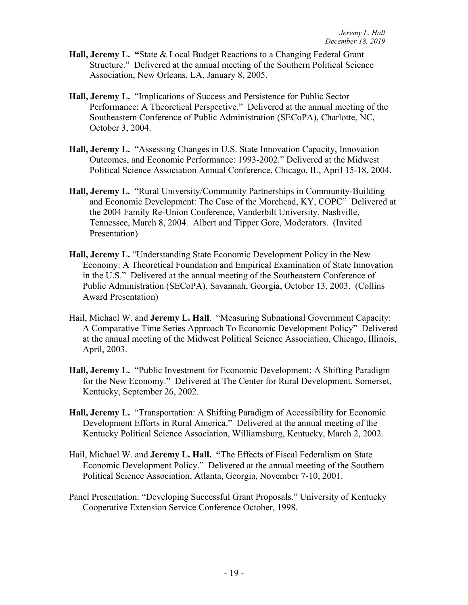- **Hall, Jeremy L. "**State & Local Budget Reactions to a Changing Federal Grant Structure." Delivered at the annual meeting of the Southern Political Science Association, New Orleans, LA, January 8, 2005.
- **Hall, Jeremy L.** "Implications of Success and Persistence for Public Sector Performance: A Theoretical Perspective." Delivered at the annual meeting of the Southeastern Conference of Public Administration (SECoPA), Charlotte, NC, October 3, 2004.
- **Hall, Jeremy L.** "Assessing Changes in U.S. State Innovation Capacity, Innovation Outcomes, and Economic Performance: 1993-2002." Delivered at the Midwest Political Science Association Annual Conference, Chicago, IL, April 15-18, 2004.
- **Hall, Jeremy L.** "Rural University/Community Partnerships in Community-Building and Economic Development: The Case of the Morehead, KY, COPC" Delivered at the 2004 Family Re-Union Conference, Vanderbilt University, Nashville, Tennessee, March 8, 2004. Albert and Tipper Gore, Moderators. (Invited Presentation)
- **Hall, Jeremy L.** "Understanding State Economic Development Policy in the New Economy: A Theoretical Foundation and Empirical Examination of State Innovation in the U.S." Delivered at the annual meeting of the Southeastern Conference of Public Administration (SECoPA), Savannah, Georgia, October 13, 2003. (Collins Award Presentation)
- Hail, Michael W. and **Jeremy L. Hall**. "Measuring Subnational Government Capacity: A Comparative Time Series Approach To Economic Development Policy" Delivered at the annual meeting of the Midwest Political Science Association, Chicago, Illinois, April, 2003.
- **Hall, Jeremy L.** "Public Investment for Economic Development: A Shifting Paradigm for the New Economy." Delivered at The Center for Rural Development, Somerset, Kentucky, September 26, 2002.
- **Hall, Jeremy L.** "Transportation: A Shifting Paradigm of Accessibility for Economic Development Efforts in Rural America." Delivered at the annual meeting of the Kentucky Political Science Association, Williamsburg, Kentucky, March 2, 2002.
- Hail, Michael W. and **Jeremy L. Hall. "**The Effects of Fiscal Federalism on State Economic Development Policy."Delivered at the annual meeting of the Southern Political Science Association, Atlanta, Georgia, November 7-10, 2001.
- Panel Presentation: "Developing Successful Grant Proposals." University of Kentucky Cooperative Extension Service Conference October, 1998.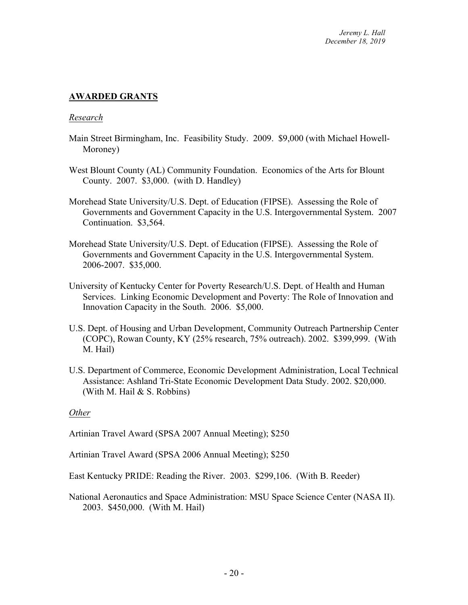# **AWARDED GRANTS**

#### *Research*

- Main Street Birmingham, Inc. Feasibility Study. 2009. \$9,000 (with Michael Howell-Moroney)
- West Blount County (AL) Community Foundation. Economics of the Arts for Blount County. 2007. \$3,000. (with D. Handley)
- Morehead State University/U.S. Dept. of Education (FIPSE). Assessing the Role of Governments and Government Capacity in the U.S. Intergovernmental System. 2007 Continuation. \$3,564.
- Morehead State University/U.S. Dept. of Education (FIPSE). Assessing the Role of Governments and Government Capacity in the U.S. Intergovernmental System. 2006-2007. \$35,000.
- University of Kentucky Center for Poverty Research/U.S. Dept. of Health and Human Services. Linking Economic Development and Poverty: The Role of Innovation and Innovation Capacity in the South. 2006. \$5,000.
- U.S. Dept. of Housing and Urban Development, Community Outreach Partnership Center (COPC), Rowan County, KY (25% research, 75% outreach). 2002. \$399,999. (With M. Hail)
- U.S. Department of Commerce, Economic Development Administration, Local Technical Assistance: Ashland Tri-State Economic Development Data Study. 2002. \$20,000. (With M. Hail & S. Robbins)

#### *Other*

Artinian Travel Award (SPSA 2007 Annual Meeting); \$250

Artinian Travel Award (SPSA 2006 Annual Meeting); \$250

East Kentucky PRIDE: Reading the River. 2003. \$299,106. (With B. Reeder)

National Aeronautics and Space Administration: MSU Space Science Center (NASA II). 2003. \$450,000. (With M. Hail)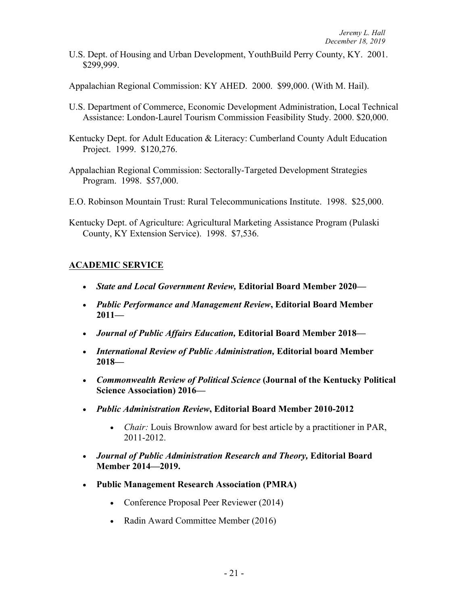U.S. Dept. of Housing and Urban Development, YouthBuild Perry County, KY. 2001. \$299,999.

Appalachian Regional Commission: KY AHED. 2000. \$99,000. (With M. Hail).

- U.S. Department of Commerce, Economic Development Administration, Local Technical Assistance: London-Laurel Tourism Commission Feasibility Study. 2000. \$20,000.
- Kentucky Dept. for Adult Education & Literacy: Cumberland County Adult Education Project. 1999. \$120,276.
- Appalachian Regional Commission: Sectorally-Targeted Development Strategies Program. 1998. \$57,000.
- E.O. Robinson Mountain Trust: Rural Telecommunications Institute. 1998. \$25,000.
- Kentucky Dept. of Agriculture: Agricultural Marketing Assistance Program (Pulaski County, KY Extension Service). 1998. \$7,536.

# **ACADEMIC SERVICE**

- *State and Local Government Review,* **Editorial Board Member 2020—**
- *Public Performance and Management Review***, Editorial Board Member 2011—**
- *Journal of Public Affairs Education,* **Editorial Board Member 2018—**
- *International Review of Public Administration,* **Editorial board Member 2018—**
- *Commonwealth Review of Political Science* **(Journal of the Kentucky Political Science Association) 2016—**
- *Public Administration Review***, Editorial Board Member 2010-2012**
	- *Chair:* Louis Brownlow award for best article by a practitioner in PAR, 2011-2012.
- *Journal of Public Administration Research and Theory,* **Editorial Board Member 2014—2019.**
- **Public Management Research Association (PMRA)**
	- Conference Proposal Peer Reviewer (2014)
	- Radin Award Committee Member (2016)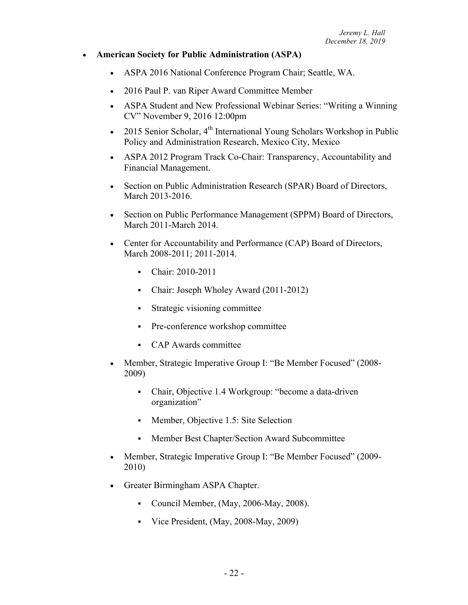#### • **American Society for Public Administration (ASPA)**

- ASPA 2016 National Conference Program Chair; Seattle, WA.
- 2016 Paul P. van Riper Award Committee Member
- ASPA Student and New Professional Webinar Series: "Writing a Winning" CV" November 9, 2016 12:00pm
- 2015 Senior Scholar,  $4^{th}$  International Young Scholars Workshop in Public Policy and Administration Research, Mexico City, Mexico
- ASPA 2012 Program Track Co-Chair: Transparency, Accountability and Financial Management.
- Section on Public Administration Research (SPAR) Board of Directors, March 2013-2016.
- Section on Public Performance Management (SPPM) Board of Directors, March 2011-March 2014.
- Center for Accountability and Performance (CAP) Board of Directors, March 2008-2011; 2011-2014.
	- Chair: 2010-2011
	- Chair: Joseph Wholey Award (2011-2012)
	- § Strategic visioning committee
	- Pre-conference workshop committee
	- § CAP Awards committee
- Member, Strategic Imperative Group I: "Be Member Focused" (2008- 2009)
	- Chair, Objective 1.4 Workgroup: "become a data-driven organization"
	- Member, Objective 1.5: Site Selection
	- § Member Best Chapter/Section Award Subcommittee
- Member, Strategic Imperative Group I: "Be Member Focused" (2009-2010)
- Greater Birmingham ASPA Chapter.
	- Council Member, (May, 2006-May, 2008).
	- Vice President, (May, 2008-May, 2009)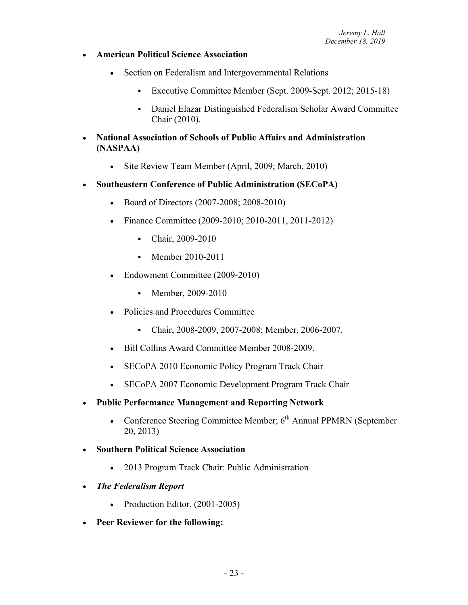- **American Political Science Association**
	- Section on Federalism and Intergovernmental Relations
		- Executive Committee Member (Sept. 2009-Sept. 2012; 2015-18)
		- § Daniel Elazar Distinguished Federalism Scholar Award Committee Chair (2010).
- **National Association of Schools of Public Affairs and Administration (NASPAA)**
	- Site Review Team Member (April, 2009; March, 2010)
- **Southeastern Conference of Public Administration (SECoPA)**
	- Board of Directors (2007-2008; 2008-2010)
	- Finance Committee (2009-2010; 2010-2011, 2011-2012)
		- Chair, 2009-2010
		- Member 2010-2011
	- Endowment Committee (2009-2010)
		- Member, 2009-2010
	- Policies and Procedures Committee
		- Chair, 2008-2009, 2007-2008; Member, 2006-2007.
	- Bill Collins Award Committee Member 2008-2009.
	- SECoPA 2010 Economic Policy Program Track Chair
	- SECoPA 2007 Economic Development Program Track Chair
- **Public Performance Management and Reporting Network**
	- Conference Steering Committee Member; 6<sup>th</sup> Annual PPMRN (September 20, 2013)
- **Southern Political Science Association**
	- 2013 Program Track Chair: Public Administration
- *The Federalism Report*
	- Production Editor, (2001-2005)
- **Peer Reviewer for the following:**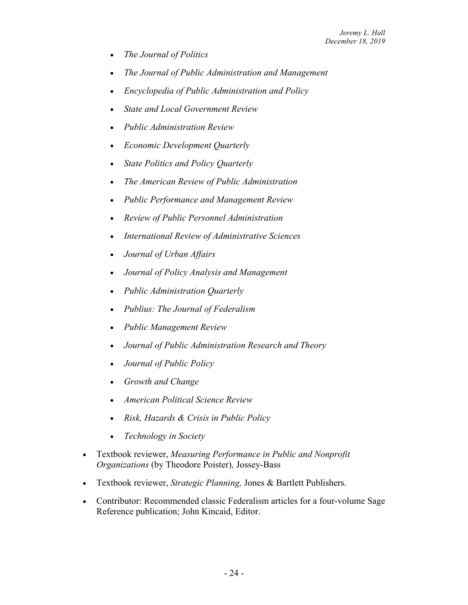- *The Journal of Politics*
- *The Journal of Public Administration and Management*
- *Encyclopedia of Public Administration and Policy*
- *State and Local Government Review*
- *Public Administration Review*
- *Economic Development Quarterly*
- *State Politics and Policy Quarterly*
- *The American Review of Public Administration*
- *Public Performance and Management Review*
- *Review of Public Personnel Administration*
- *International Review of Administrative Sciences*
- *Journal of Urban Affairs*
- *Journal of Policy Analysis and Management*
- *Public Administration Quarterly*
- *Publius: The Journal of Federalism*
- *Public Management Review*
- *Journal of Public Administration Research and Theory*
- *Journal of Public Policy*
- *Growth and Change*
- *American Political Science Review*
- *Risk, Hazards & Crisis in Public Policy*
- *Technology in Society*
- Textbook reviewer, *Measuring Performance in Public and Nonprofit Organizations* (by Theodore Poister)*,* Jossey-Bass
- Textbook reviewer, *Strategic Planning,* Jones & Bartlett Publishers.
- Contributor: Recommended classic Federalism articles for a four-volume Sage Reference publication; John Kincaid, Editor.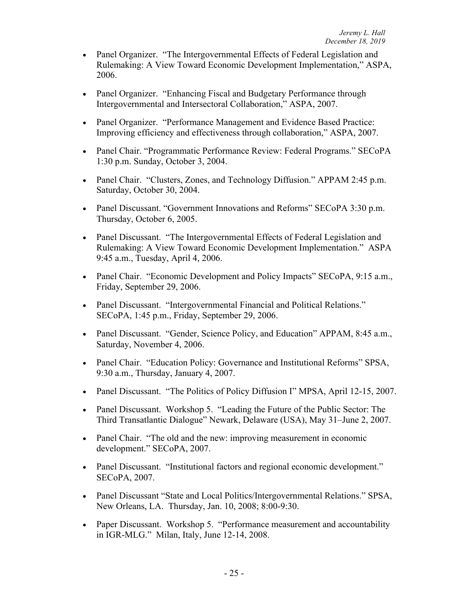- Panel Organizer. "The Intergovernmental Effects of Federal Legislation and Rulemaking: A View Toward Economic Development Implementation," ASPA, 2006.
- Panel Organizer. "Enhancing Fiscal and Budgetary Performance through Intergovernmental and Intersectoral Collaboration," ASPA, 2007.
- Panel Organizer. "Performance Management and Evidence Based Practice: Improving efficiency and effectiveness through collaboration," ASPA, 2007.
- Panel Chair. "Programmatic Performance Review: Federal Programs." SECoPA 1:30 p.m. Sunday, October 3, 2004.
- Panel Chair. "Clusters, Zones, and Technology Diffusion." APPAM 2:45 p.m. Saturday, October 30, 2004.
- Panel Discussant. "Government Innovations and Reforms" SECoPA 3:30 p.m. Thursday, October 6, 2005.
- Panel Discussant. "The Intergovernmental Effects of Federal Legislation and Rulemaking: A View Toward Economic Development Implementation." ASPA 9:45 a.m., Tuesday, April 4, 2006.
- Panel Chair. "Economic Development and Policy Impacts" SECoPA, 9:15 a.m., Friday, September 29, 2006.
- Panel Discussant. "Intergovernmental Financial and Political Relations." SECoPA, 1:45 p.m., Friday, September 29, 2006.
- Panel Discussant. "Gender, Science Policy, and Education" APPAM, 8:45 a.m., Saturday, November 4, 2006.
- Panel Chair. "Education Policy: Governance and Institutional Reforms" SPSA, 9:30 a.m., Thursday, January 4, 2007.
- Panel Discussant. "The Politics of Policy Diffusion I" MPSA, April 12-15, 2007.
- Panel Discussant. Workshop 5. "Leading the Future of the Public Sector: The Third Transatlantic Dialogue" Newark, Delaware (USA), May 31–June 2, 2007.
- Panel Chair. "The old and the new: improving measurement in economic development." SECoPA, 2007.
- Panel Discussant. "Institutional factors and regional economic development." SECoPA, 2007.
- Panel Discussant "State and Local Politics/Intergovernmental Relations." SPSA, New Orleans, LA. Thursday, Jan. 10, 2008; 8:00-9:30.
- Paper Discussant. Workshop 5. "Performance measurement and accountability in IGR-MLG." Milan, Italy, June 12-14, 2008.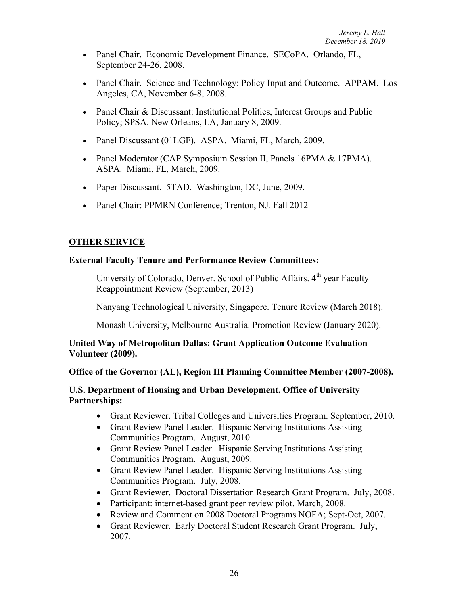- Panel Chair. Economic Development Finance. SECoPA. Orlando, FL, September 24-26, 2008.
- Panel Chair. Science and Technology: Policy Input and Outcome. APPAM. Los Angeles, CA, November 6-8, 2008.
- Panel Chair & Discussant: Institutional Politics, Interest Groups and Public Policy; SPSA. New Orleans, LA, January 8, 2009.
- Panel Discussant (01LGF). ASPA. Miami, FL, March, 2009.
- Panel Moderator (CAP Symposium Session II, Panels 16PMA & 17PMA). ASPA. Miami, FL, March, 2009.
- Paper Discussant. 5TAD. Washington, DC, June, 2009.
- Panel Chair: PPMRN Conference; Trenton, NJ. Fall 2012

### **OTHER SERVICE**

#### **External Faculty Tenure and Performance Review Committees:**

University of Colorado, Denver. School of Public Affairs, 4<sup>th</sup> year Faculty Reappointment Review (September, 2013)

Nanyang Technological University, Singapore. Tenure Review (March 2018).

Monash University, Melbourne Australia. Promotion Review (January 2020).

### **United Way of Metropolitan Dallas: Grant Application Outcome Evaluation Volunteer (2009).**

#### **Office of the Governor (AL), Region III Planning Committee Member (2007-2008).**

### **U.S. Department of Housing and Urban Development, Office of University Partnerships:**

- Grant Reviewer. Tribal Colleges and Universities Program. September, 2010.
- Grant Review Panel Leader. Hispanic Serving Institutions Assisting Communities Program. August, 2010.
- Grant Review Panel Leader. Hispanic Serving Institutions Assisting Communities Program. August, 2009.
- Grant Review Panel Leader. Hispanic Serving Institutions Assisting Communities Program. July, 2008.
- Grant Reviewer. Doctoral Dissertation Research Grant Program. July, 2008.
- Participant: internet-based grant peer review pilot. March, 2008.
- Review and Comment on 2008 Doctoral Programs NOFA; Sept-Oct, 2007.
- Grant Reviewer. Early Doctoral Student Research Grant Program. July, 2007.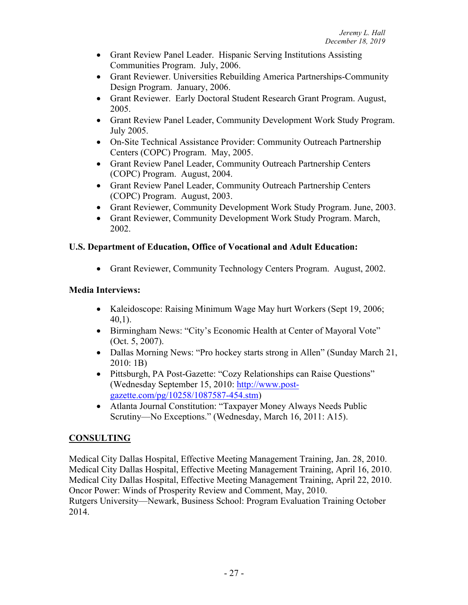- Grant Review Panel Leader. Hispanic Serving Institutions Assisting Communities Program. July, 2006.
- Grant Reviewer. Universities Rebuilding America Partnerships-Community Design Program. January, 2006.
- Grant Reviewer. Early Doctoral Student Research Grant Program. August, 2005.
- Grant Review Panel Leader, Community Development Work Study Program. July 2005.
- On-Site Technical Assistance Provider: Community Outreach Partnership Centers (COPC) Program. May, 2005.
- Grant Review Panel Leader, Community Outreach Partnership Centers (COPC) Program. August, 2004.
- Grant Review Panel Leader, Community Outreach Partnership Centers (COPC) Program. August, 2003.
- Grant Reviewer, Community Development Work Study Program. June, 2003.
- Grant Reviewer, Community Development Work Study Program. March, 2002.

# **U.S. Department of Education, Office of Vocational and Adult Education:**

• Grant Reviewer, Community Technology Centers Program. August, 2002.

# **Media Interviews:**

- Kaleidoscope: Raising Minimum Wage May hurt Workers (Sept 19, 2006; 40,1).
- Birmingham News: "City's Economic Health at Center of Mayoral Vote" (Oct. 5, 2007).
- Dallas Morning News: "Pro hockey starts strong in Allen" (Sunday March 21, 2010: 1B)
- Pittsburgh, PA Post-Gazette: "Cozy Relationships can Raise Questions" (Wednesday September 15, 2010: http://www.postgazette.com/pg/10258/1087587-454.stm)
- Atlanta Journal Constitution: "Taxpayer Money Always Needs Public Scrutiny—No Exceptions." (Wednesday, March 16, 2011: A15).

# **CONSULTING**

Medical City Dallas Hospital, Effective Meeting Management Training, Jan. 28, 2010. Medical City Dallas Hospital, Effective Meeting Management Training, April 16, 2010. Medical City Dallas Hospital, Effective Meeting Management Training, April 22, 2010. Oncor Power: Winds of Prosperity Review and Comment, May, 2010. Rutgers University—Newark, Business School: Program Evaluation Training October 2014.